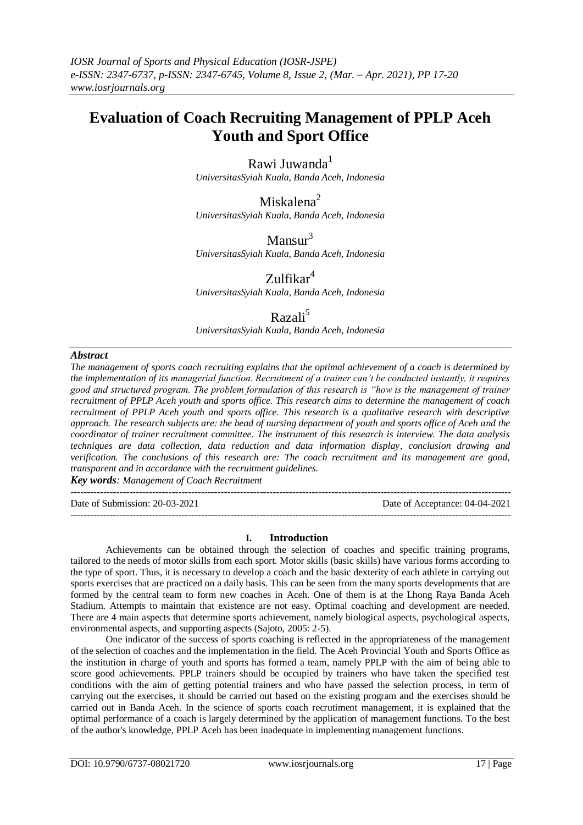# **Evaluation of Coach Recruiting Management of PPLP Aceh Youth and Sport Office**

Rawi Juwanda $<sup>1</sup>$ </sup>

*UniversitasSyiah Kuala, Banda Aceh, Indonesia*

Miskalena<sup>2</sup>

*UniversitasSyiah Kuala, Banda Aceh, Indonesia*

 $Mansur<sup>3</sup>$ *UniversitasSyiah Kuala, Banda Aceh, Indonesia*

Zulfikar<sup>4</sup> *UniversitasSyiah Kuala, Banda Aceh, Indonesia*

# Razali<sup>5</sup>

*UniversitasSyiah Kuala, Banda Aceh, Indonesia*

# *Abstract*

*The management of sports coach recruiting explains that the optimal achievement of a coach is determined by the implementation of its managerial function. Recruitment of a trainer can't be conducted instantly, it requires good and structured program. The problem formulation of this research is "how is the management of trainer recruitment of PPLP Aceh youth and sports office. This research aims to determine the management of coach recruitment of PPLP Aceh youth and sports office. This research is a qualitative research with descriptive approach. The research subjects are: the head of nursing department of youth and sports office of Aceh and the coordinator of trainer recruitment committee. The instrument of this research is interview. The data analysis techniques are data collection, data reduction and data information display, conclusion drawing and verification. The conclusions of this research are: The coach recruitment and its management are good, transparent and in accordance with the recruitment guidelines.*

*Key words: Management of Coach Recruitment*

---------------------------------------------------------------------------------------------------------------------------------------

Date of Submission: 20-03-2021 Date of Acceptance: 04-04-2021

#### **I. Introduction**

---------------------------------------------------------------------------------------------------------------------------------------

Achievements can be obtained through the selection of coaches and specific training programs, tailored to the needs of motor skills from each sport. Motor skills (basic skills) have various forms according to the type of sport. Thus, it is necessary to develop a coach and the basic dexterity of each athlete in carrying out sports exercises that are practiced on a daily basis. This can be seen from the many sports developments that are formed by the central team to form new coaches in Aceh. One of them is at the Lhong Raya Banda Aceh Stadium. Attempts to maintain that existence are not easy. Optimal coaching and development are needed. There are 4 main aspects that determine sports achievement, namely biological aspects, psychological aspects, environmental aspects, and supporting aspects (Sajoto, 2005: 2-5).

One indicator of the success of sports coaching is reflected in the appropriateness of the management of the selection of coaches and the implementation in the field. The Aceh Provincial Youth and Sports Office as the institution in charge of youth and sports has formed a team, namely PPLP with the aim of being able to score good achievements. PPLP trainers should be occupied by trainers who have taken the specified test conditions with the aim of getting potential trainers and who have passed the selection process, in term of carrying out the exercises, it should be carried out based on the existing program and the exercises should be carried out in Banda Aceh. In the science of sports coach recrutiment management, it is explained that the optimal performance of a coach is largely determined by the application of management functions. To the best of the author's knowledge, PPLP Aceh has been inadequate in implementing management functions.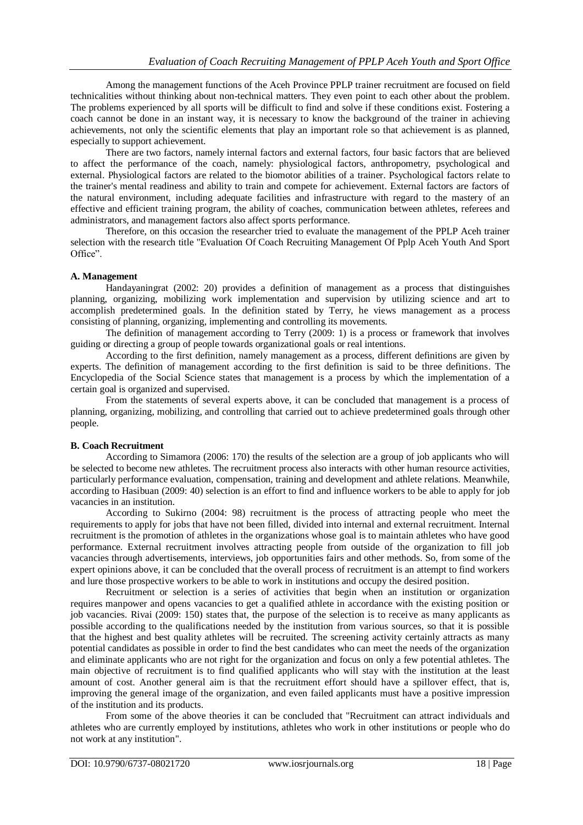Among the management functions of the Aceh Province PPLP trainer recruitment are focused on field technicalities without thinking about non-technical matters. They even point to each other about the problem. The problems experienced by all sports will be difficult to find and solve if these conditions exist. Fostering a coach cannot be done in an instant way, it is necessary to know the background of the trainer in achieving achievements, not only the scientific elements that play an important role so that achievement is as planned, especially to support achievement.

There are two factors, namely internal factors and external factors, four basic factors that are believed to affect the performance of the coach, namely: physiological factors, anthropometry, psychological and external. Physiological factors are related to the biomotor abilities of a trainer. Psychological factors relate to the trainer's mental readiness and ability to train and compete for achievement. External factors are factors of the natural environment, including adequate facilities and infrastructure with regard to the mastery of an effective and efficient training program, the ability of coaches, communication between athletes, referees and administrators, and management factors also affect sports performance.

Therefore, on this occasion the researcher tried to evaluate the management of the PPLP Aceh trainer selection with the research title "Evaluation Of Coach Recruiting Management Of Pplp Aceh Youth And Sport Office".

### **A. Management**

Handayaningrat (2002: 20) provides a definition of management as a process that distinguishes planning, organizing, mobilizing work implementation and supervision by utilizing science and art to accomplish predetermined goals. In the definition stated by Terry, he views management as a process consisting of planning, organizing, implementing and controlling its movements.

The definition of management according to Terry (2009: 1) is a process or framework that involves guiding or directing a group of people towards organizational goals or real intentions.

According to the first definition, namely management as a process, different definitions are given by experts. The definition of management according to the first definition is said to be three definitions. The Encyclopedia of the Social Science states that management is a process by which the implementation of a certain goal is organized and supervised.

From the statements of several experts above, it can be concluded that management is a process of planning, organizing, mobilizing, and controlling that carried out to achieve predetermined goals through other people.

#### **B. Coach Recruitment**

According to Simamora (2006: 170) the results of the selection are a group of job applicants who will be selected to become new athletes. The recruitment process also interacts with other human resource activities, particularly performance evaluation, compensation, training and development and athlete relations. Meanwhile, according to Hasibuan (2009: 40) selection is an effort to find and influence workers to be able to apply for job vacancies in an institution.

According to Sukirno (2004: 98) recruitment is the process of attracting people who meet the requirements to apply for jobs that have not been filled, divided into internal and external recruitment. Internal recruitment is the promotion of athletes in the organizations whose goal is to maintain athletes who have good performance. External recruitment involves attracting people from outside of the organization to fill job vacancies through advertisements, interviews, job opportunities fairs and other methods. So, from some of the expert opinions above, it can be concluded that the overall process of recruitment is an attempt to find workers and lure those prospective workers to be able to work in institutions and occupy the desired position.

Recruitment or selection is a series of activities that begin when an institution or organization requires manpower and opens vacancies to get a qualified athlete in accordance with the existing position or job vacancies. Rivai (2009: 150) states that, the purpose of the selection is to receive as many applicants as possible according to the qualifications needed by the institution from various sources, so that it is possible that the highest and best quality athletes will be recruited. The screening activity certainly attracts as many potential candidates as possible in order to find the best candidates who can meet the needs of the organization and eliminate applicants who are not right for the organization and focus on only a few potential athletes. The main objective of recruitment is to find qualified applicants who will stay with the institution at the least amount of cost. Another general aim is that the recruitment effort should have a spillover effect, that is, improving the general image of the organization, and even failed applicants must have a positive impression of the institution and its products.

From some of the above theories it can be concluded that "Recruitment can attract individuals and athletes who are currently employed by institutions, athletes who work in other institutions or people who do not work at any institution".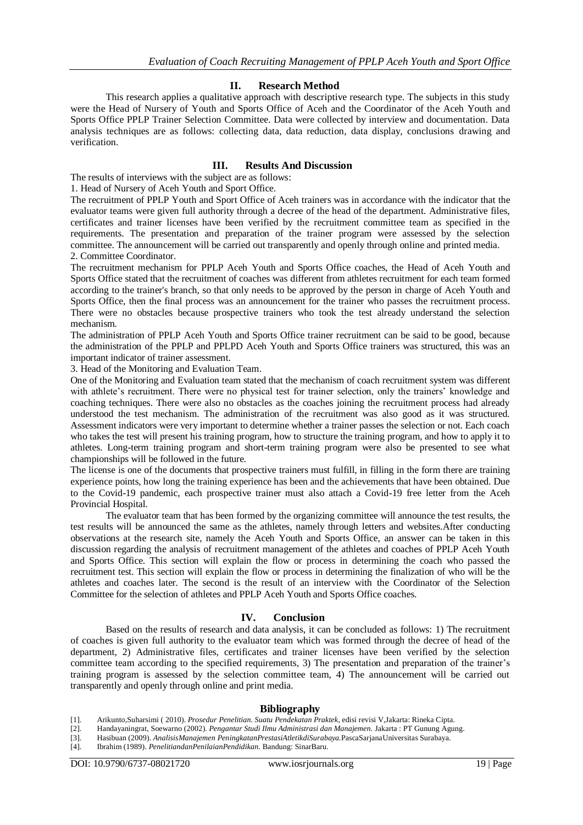#### **II. Research Method**

This research applies a qualitative approach with descriptive research type. The subjects in this study were the Head of Nursery of Youth and Sports Office of Aceh and the Coordinator of the Aceh Youth and Sports Office PPLP Trainer Selection Committee. Data were collected by interview and documentation. Data analysis techniques are as follows: collecting data, data reduction, data display, conclusions drawing and verification.

# **III. Results And Discussion**

The results of interviews with the subject are as follows:

1. Head of Nursery of Aceh Youth and Sport Office.

The recruitment of PPLP Youth and Sport Office of Aceh trainers was in accordance with the indicator that the evaluator teams were given full authority through a decree of the head of the department. Administrative files, certificates and trainer licenses have been verified by the recruitment committee team as specified in the requirements. The presentation and preparation of the trainer program were assessed by the selection committee. The announcement will be carried out transparently and openly through online and printed media. 2. Committee Coordinator.

The recruitment mechanism for PPLP Aceh Youth and Sports Office coaches, the Head of Aceh Youth and Sports Office stated that the recruitment of coaches was different from athletes recruitment for each team formed according to the trainer's branch, so that only needs to be approved by the person in charge of Aceh Youth and Sports Office, then the final process was an announcement for the trainer who passes the recruitment process. There were no obstacles because prospective trainers who took the test already understand the selection mechanism.

The administration of PPLP Aceh Youth and Sports Office trainer recruitment can be said to be good, because the administration of the PPLP and PPLPD Aceh Youth and Sports Office trainers was structured, this was an important indicator of trainer assessment.

3. Head of the Monitoring and Evaluation Team.

One of the Monitoring and Evaluation team stated that the mechanism of coach recruitment system was different with athlete's recruitment. There were no physical test for trainer selection, only the trainers' knowledge and coaching techniques. There were also no obstacles as the coaches joining the recruitment process had already understood the test mechanism. The administration of the recruitment was also good as it was structured. Assessment indicators were very important to determine whether a trainer passes the selection or not. Each coach who takes the test will present his training program, how to structure the training program, and how to apply it to athletes. Long-term training program and short-term training program were also be presented to see what championships will be followed in the future.

The license is one of the documents that prospective trainers must fulfill, in filling in the form there are training experience points, how long the training experience has been and the achievements that have been obtained. Due to the Covid-19 pandemic, each prospective trainer must also attach a Covid-19 free letter from the Aceh Provincial Hospital.

The evaluator team that has been formed by the organizing committee will announce the test results, the test results will be announced the same as the athletes, namely through letters and websites.After conducting observations at the research site, namely the Aceh Youth and Sports Office, an answer can be taken in this discussion regarding the analysis of recruitment management of the athletes and coaches of PPLP Aceh Youth and Sports Office. This section will explain the flow or process in determining the coach who passed the recruitment test. This section will explain the flow or process in determining the finalization of who will be the athletes and coaches later. The second is the result of an interview with the Coordinator of the Selection Committee for the selection of athletes and PPLP Aceh Youth and Sports Office coaches.

#### **IV. Conclusion**

Based on the results of research and data analysis, it can be concluded as follows: 1) The recruitment of coaches is given full authority to the evaluator team which was formed through the decree of head of the department, 2) Administrative files, certificates and trainer licenses have been verified by the selection committee team according to the specified requirements, 3) The presentation and preparation of the trainer's training program is assessed by the selection committee team, 4) The announcement will be carried out transparently and openly through online and print media.

#### **Bibliography**

[1]. Arikunto,Suharsimi ( 2010). *Prosedur Penelitian. Suatu Pendekatan Praktek*, edisi revisi V,Jakarta: Rineka Cipta.

- [2]. Handayaningrat, Soewarno (2002). *Pengantar Studi Ilmu Administrasi dan Manajemen.* Jakarta : PT Gunung Agung.
- [3]. Hasibuan (2009). *AnalisisManajemen PeningkatanPrestasiAtletikdiSurabaya.*PascaSarjanaUniversitas Surabaya.

[4]. Ibrahim (1989). *PenelitiandanPenilaianPendidikan.* Bandung: SinarBaru.